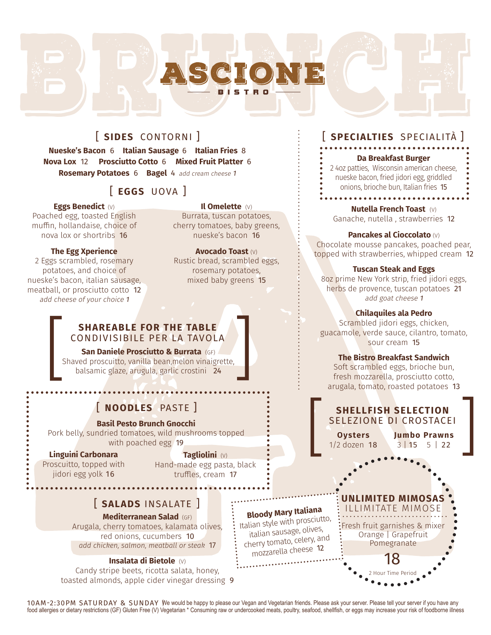# [ **SIDES** CONTORNI ]

**Nueske's Bacon** 6 **Italian Sausage** 6 **Italian Fries** 8 **Nova Lox** 12 **Prosciutto Cotto** 6 **Mixed Fruit Platter** 6 **Rosemary Potatoes** 6 **Bagel** 4add cream cheese <sup>1</sup>

## [ **EGGS** UOVA ]

#### **Eggs Benedict** (V)

Poached egg, toasted English muffin, hollandaise, choice of nova lox or shortribs 16

#### **The Egg Xperience**

2 Eggs scrambled, rosemary potatoes, and choice of nueske's bacon, italian sausage, meatball, or prosciutto cotto 12 add cheese of your choice <sup>1</sup>

**Il Omelette** (V)

Burrata, tuscan potatoes, cherry tomatoes, baby greens, nueske's bacon 16

**Avocado Toast** (V) Rustic bread, scrambled eggs, rosemary potatoes, mixed baby greens 15

# **SHAREABLE FOR THE TABLE**<br>CONDIVISIBLE PER LA TAVOLA

**San Daniele Prosciutto & Burrata** (GF) Shaved proscuitto, vanilla bean,melon vinaigrette, balsamic glaze, arugula, garlic crostini 24 **SHAREABLE FOR THE TABLE**<br>CONDIVISIBILE PER LA TAVOLA<br>**San Daniele Prosciutto & Burrata** (GF)<br>Shaved proscuitto, vanilla bean,melon vinaigrette,<br>balsamic glaze, arugula, garlic crostini 24

# [ **NOODLES** PASTE ]

#### **Basil Pesto Brunch Gnocchi**

Pork belly, sundried tomatoes, wild mushrooms topped with poached egg 19

#### **Linguini Carbonara**

Proscuitto, topped with jidori egg yolk 16

**Tagliolini** (V) Hand-made egg pasta, black truffles, cream 17

## [ **SALADS** INSALATE ]

**Mediterranean Salad** (GF)

Arugala, cherry tomatoes, kalamata olives, red onions, cucumbers 10 *add chicken, salmon, meatball or steak* 17

#### **Insalata di Bietole** (V)

Candy stripe beets, ricotta salata, honey, toasted almonds, apple cider vinegar dressing 9

# [ **SPECIALTIES** SPECIALITÀ ]

#### **Da Breakfast Burger**

2 4oz patties, Wisconsin american cheese, nueske bacon, fried jidori egg, griddled onions, brioche bun, Italian fries 15 **AAAAAAAAAAAAA** 

**Nutella French Toast** (V) Ganache, nutella , strawberries 12

#### **Pancakes al Cioccolato** (V)

Chocolate mousse pancakes, poached pear, topped with strawberries, whipped cream 12

#### **Tuscan Steak and Eggs**

8oz prime New York strip, fried jidori eggs, herbs de provence, tuscan potatoes 21 add goat cheese <sup>1</sup>

#### **Chilaquiles ala Pedro**

Scrambled jidori eggs, chicken, guacamole, verde sauce, cilantro, tomato, sour cream 15

#### **The Bistro Breakfast Sandwich**

Soft scrambled eggs, brioche bun, fresh mozzarella, prosciutto cotto, arugala, tomato, roasted potatoes 13

# **SHELLFISH SELECTION**<br>
SELEZIONE DI CROSTACEI<br>
Oysters **Jumbo Prawns**<br>
1/2 dozen 18<br> **Oysters Oysters Oysters Oysters Oysters Oysters Oysters Oysters Oysters Oysters SHELLFISH SELECTION** SELEZIONE DI CROSTACEI

**Jumbo Prawns** 3 | 15 5 | 22

# **Bloody Mary Italiana**

Italian style with prosciutto, italian sausage, olives, cherry tomato, celery, an<sup>d</sup> mozzarella cheese <sup>12</sup>

2 Hour Time Period 18 Fresh fruit garnishes & mixer Orange | Grapefruit Pomegranate **IMITED MIMOSA** ILLIMITATE MIMOSE

10AM-2:30PM SATURDAY & SUNDAY We would be happy to please our Vegan and Vegetarian friends. Please ask your server. Please tell your server if you have any food allergies or dietary restrictions (GF) Gluten Free (V) Vegetarian \* Consuming raw or undercooked meats, poultry, seafood, shellfish, or eggs may increase your risk of foodborne illness